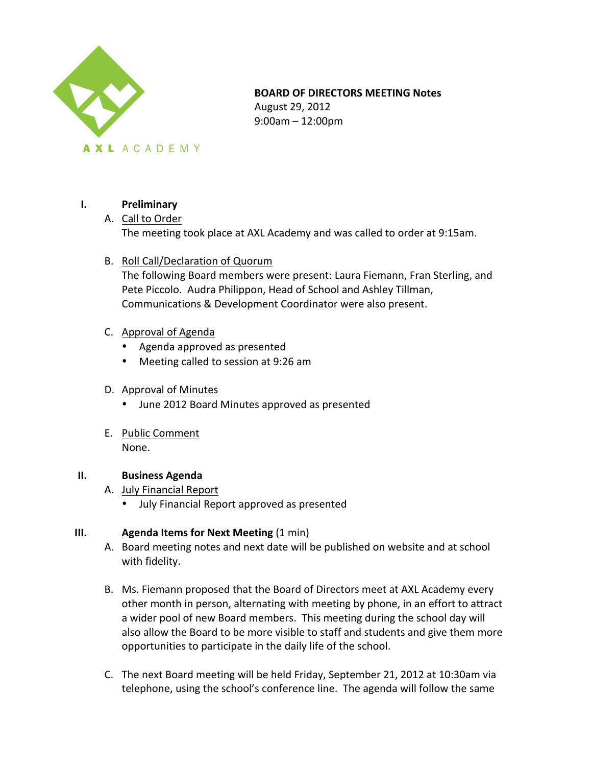

#### **BOARD OF DIRECTORS MEETING Notes**

August 29, 2012 9:00am – 12:00pm

#### **I. Preliminary**

- A. Call to Order The meeting took place at AXL Academy and was called to order at 9:15am.
- B. Roll Call/Declaration of Quorum

The following Board members were present: Laura Fiemann, Fran Sterling, and Pete Piccolo. Audra Philippon, Head of School and Ashley Tillman, Communications & Development Coordinator were also present.

- C. Approval of Agenda
	- Agenda approved as presented
	- Meeting called to session at 9:26 am

#### D. Approval of Minutes

- June 2012 Board Minutes approved as presented
- E. Public Comment None.

#### **II. Business Agenda**

- A. July Financial Report
	- July Financial Report approved as presented

#### **III. Agenda Items for Next Meeting** (1 min)

- A. Board meeting notes and next date will be published on website and at school with fidelity.
- B. Ms. Fiemann proposed that the Board of Directors meet at AXL Academy every other month in person, alternating with meeting by phone, in an effort to attract a wider pool of new Board members. This meeting during the school day will also allow the Board to be more visible to staff and students and give them more opportunities to participate in the daily life of the school.
- C. The next Board meeting will be held Friday, September 21, 2012 at 10:30am via telephone, using the school's conference line. The agenda will follow the same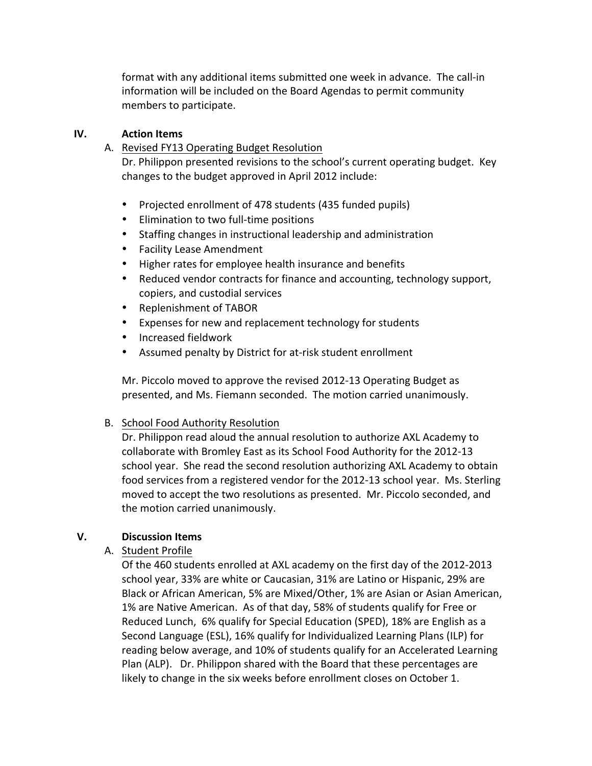format with any additional items submitted one week in advance. The call-in information will be included on the Board Agendas to permit community members to participate.

#### **IV. Action Items**

A. Revised FY13 Operating Budget Resolution

Dr. Philippon presented revisions to the school's current operating budget. Key changes to the budget approved in April 2012 include:

- Projected enrollment of 478 students (435 funded pupils)
- Elimination to two full-time positions
- Staffing changes in instructional leadership and administration
- Facility Lease Amendment
- Higher rates for employee health insurance and benefits
- Reduced vendor contracts for finance and accounting, technology support, copiers, and custodial services
- Replenishment of TABOR
- Expenses for new and replacement technology for students
- Increased fieldwork
- Assumed penalty by District for at-risk student enrollment

Mr. Piccolo moved to approve the revised 2012-13 Operating Budget as presented, and Ms. Fiemann seconded. The motion carried unanimously.

## B. School Food Authority Resolution

Dr. Philippon read aloud the annual resolution to authorize AXL Academy to collaborate with Bromley East as its School Food Authority for the 2012-13 school year. She read the second resolution authorizing AXL Academy to obtain food services from a registered vendor for the 2012-13 school year. Ms. Sterling moved to accept the two resolutions as presented. Mr. Piccolo seconded, and the motion carried unanimously.

## **V. Discussion Items**

## A. Student Profile

Of the 460 students enrolled at AXL academy on the first day of the 2012-2013 school year, 33% are white or Caucasian, 31% are Latino or Hispanic, 29% are Black or African American, 5% are Mixed/Other, 1% are Asian or Asian American, 1% are Native American. As of that day, 58% of students qualify for Free or Reduced Lunch, 6% qualify for Special Education (SPED), 18% are English as a Second Language (ESL), 16% qualify for Individualized Learning Plans (ILP) for reading below average, and 10% of students qualify for an Accelerated Learning Plan (ALP). Dr. Philippon shared with the Board that these percentages are likely to change in the six weeks before enrollment closes on October 1.